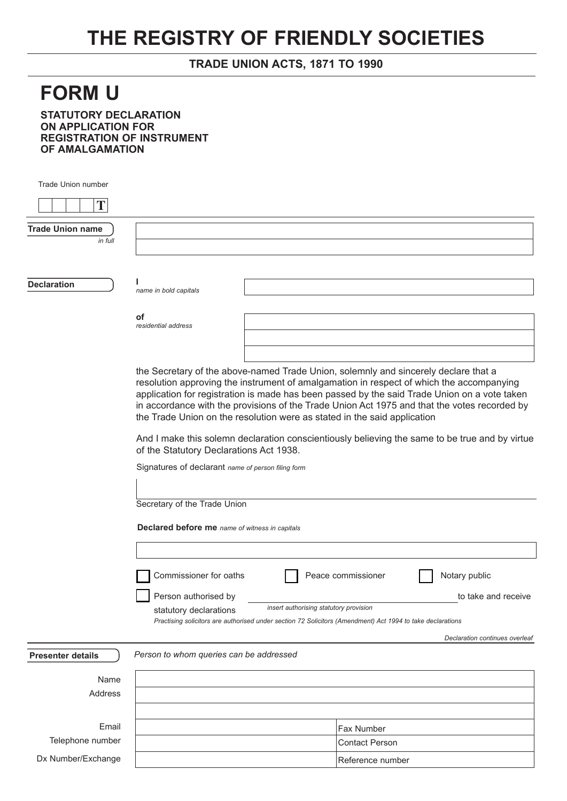## **THE REGISTRY OF FRIENDLY SOCIETIES**

## **TRADE UNION ACTS, 1871 TO 1990**

## **FORM U**

**STATUTORY DECLARATION ON APPLICATION FOR REGISTRATION OF INSTRUMENT OF AMALGAMATION** 

| <b>Trade Union number</b> |                                                                                                                                                                                 |                                        |                                                                                                            |  |  |  |
|---------------------------|---------------------------------------------------------------------------------------------------------------------------------------------------------------------------------|----------------------------------------|------------------------------------------------------------------------------------------------------------|--|--|--|
| T                         |                                                                                                                                                                                 |                                        |                                                                                                            |  |  |  |
| <b>Trade Union name</b>   |                                                                                                                                                                                 |                                        |                                                                                                            |  |  |  |
| in full                   |                                                                                                                                                                                 |                                        |                                                                                                            |  |  |  |
|                           |                                                                                                                                                                                 |                                        |                                                                                                            |  |  |  |
|                           |                                                                                                                                                                                 |                                        |                                                                                                            |  |  |  |
| <b>Declaration</b>        | name in bold capitals                                                                                                                                                           |                                        |                                                                                                            |  |  |  |
|                           |                                                                                                                                                                                 |                                        |                                                                                                            |  |  |  |
|                           | οf                                                                                                                                                                              |                                        |                                                                                                            |  |  |  |
|                           | residential address                                                                                                                                                             |                                        |                                                                                                            |  |  |  |
|                           |                                                                                                                                                                                 |                                        |                                                                                                            |  |  |  |
|                           |                                                                                                                                                                                 |                                        |                                                                                                            |  |  |  |
|                           | the Secretary of the above-named Trade Union, solemnly and sincerely declare that a<br>resolution approving the instrument of amalgamation in respect of which the accompanying |                                        |                                                                                                            |  |  |  |
|                           |                                                                                                                                                                                 |                                        | application for registration is made has been passed by the said Trade Union on a vote taken               |  |  |  |
|                           | in accordance with the provisions of the Trade Union Act 1975 and that the votes recorded by<br>the Trade Union on the resolution were as stated in the said application        |                                        |                                                                                                            |  |  |  |
|                           |                                                                                                                                                                                 |                                        |                                                                                                            |  |  |  |
|                           | And I make this solemn declaration conscientiously believing the same to be true and by virtue<br>of the Statutory Declarations Act 1938.                                       |                                        |                                                                                                            |  |  |  |
|                           | Signatures of declarant name of person filing form                                                                                                                              |                                        |                                                                                                            |  |  |  |
|                           |                                                                                                                                                                                 |                                        |                                                                                                            |  |  |  |
|                           |                                                                                                                                                                                 |                                        |                                                                                                            |  |  |  |
|                           | Secretary of the Trade Union                                                                                                                                                    |                                        |                                                                                                            |  |  |  |
|                           | Declared before me name of witness in capitals                                                                                                                                  |                                        |                                                                                                            |  |  |  |
|                           |                                                                                                                                                                                 |                                        |                                                                                                            |  |  |  |
|                           |                                                                                                                                                                                 |                                        |                                                                                                            |  |  |  |
|                           | Commissioner for oaths                                                                                                                                                          |                                        | Notary public<br>Peace commissioner                                                                        |  |  |  |
|                           | Person authorised by                                                                                                                                                            |                                        | to take and receive                                                                                        |  |  |  |
|                           | statutory declarations                                                                                                                                                          | insert authorising statutory provision |                                                                                                            |  |  |  |
|                           |                                                                                                                                                                                 |                                        | Practising solicitors are authorised under section 72 Solicitors (Amendment) Act 1994 to take declarations |  |  |  |
|                           |                                                                                                                                                                                 |                                        | Declaration continues overleaf                                                                             |  |  |  |
| <b>Presenter details</b>  | Person to whom queries can be addressed                                                                                                                                         |                                        |                                                                                                            |  |  |  |
|                           |                                                                                                                                                                                 |                                        |                                                                                                            |  |  |  |
| Name<br>Address           |                                                                                                                                                                                 |                                        |                                                                                                            |  |  |  |
|                           |                                                                                                                                                                                 |                                        |                                                                                                            |  |  |  |
|                           |                                                                                                                                                                                 |                                        |                                                                                                            |  |  |  |
| Email                     |                                                                                                                                                                                 |                                        | Fax Number                                                                                                 |  |  |  |
| Telephone number          |                                                                                                                                                                                 |                                        | <b>Contact Person</b>                                                                                      |  |  |  |

Reference number

Dx Number/Exchange